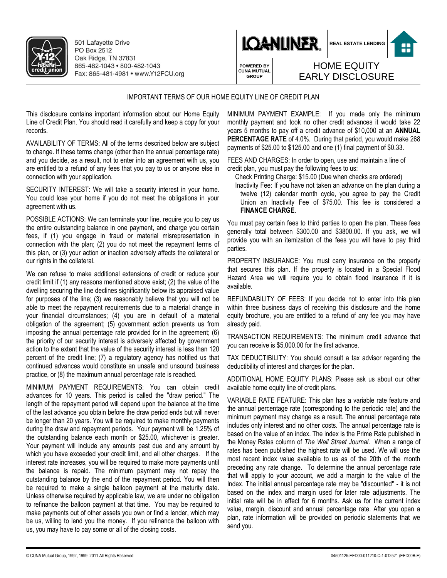

501 Lafayette Drive PO Box 2512 Oak Ridge, TN 37831 865-482-1043 · 800-482-1043 Fax: 865-481-4981 • www.Y12FCU.org





**POWERED BY CUNA MUTUAL GROUP**

## IMPORTANT TERMS OF OUR HOME EQUITY LINE OF CREDIT PLAN

This disclosure contains important information about our Home Equity Line of Credit Plan. You should read it carefully and keep a copy for your records.

AVAILABILITY OF TERMS: All of the terms described below are subject to change. If these terms change (other than the annual percentage rate) and you decide, as a result, not to enter into an agreement with us, you are entitled to a refund of any fees that you pay to us or anyone else in connection with your application.

SECURITY INTEREST: We will take a security interest in your home. You could lose your home if you do not meet the obligations in your agreement with us.

POSSIBLE ACTIONS: We can terminate your line, require you to pay us the entire outstanding balance in one payment, and charge you certain fees, if (1) you engage in fraud or material misrepresentation in connection with the plan; (2) you do not meet the repayment terms of this plan, or (3) your action or inaction adversely affects the collateral or our rights in the collateral.

We can refuse to make additional extensions of credit or reduce your credit limit if (1) any reasons mentioned above exist; (2) the value of the dwelling securing the line declines significantly below its appraised value for purposes of the line; (3) we reasonably believe that you will not be able to meet the repayment requirements due to a material change in your financial circumstances; (4) you are in default of a material obligation of the agreement; (5) government action prevents us from imposing the annual percentage rate provided for in the agreement; (6) the priority of our security interest is adversely affected by government action to the extent that the value of the security interest is less than 120 percent of the credit line; (7) a regulatory agency has notified us that continued advances would constitute an unsafe and unsound business practice, or (8) the maximum annual percentage rate is reached.

MINIMUM PAYMENT REQUIREMENTS: You can obtain credit advances for 10 years. This period is called the "draw period." The length of the repayment period will depend upon the balance at the time of the last advance you obtain before the draw period ends but will never be longer than 20 years. You will be required to make monthly payments during the draw and repayment periods. Your payment will be 1.25% of the outstanding balance each month or \$25.00, whichever is greater. Your payment will include any amounts past due and any amount by which you have exceeded your credit limit, and all other charges. If the interest rate increases, you will be required to make more payments until the balance is repaid. The minimum payment may not repay the outstanding balance by the end of the repayment period. You will then be required to make a single balloon payment at the maturity date. Unless otherwise required by applicable law, we are under no obligation to refinance the balloon payment at that time. You may be required to make payments out of other assets you own or find a lender, which may be us, willing to lend you the money. If you refinance the balloon with us, you may have to pay some or all of the closing costs.

MINIMUM PAYMENT EXAMPLE: If you made only the minimum monthly payment and took no other credit advances it would take 22 years 5 months to pay off a credit advance of \$10,000 at an **ANNUAL PERCENTAGE RATE** of 4.0%. During that period, you would make 268 payments of \$25.00 to \$125.00 and one (1) final payment of \$0.33.

HOME EQUITY EARLY DISCLOSURE

FEES AND CHARGES: In order to open, use and maintain a line of credit plan, you must pay the following fees to us:

Check Printing Charge: \$15.00 (Due when checks are ordered) Inactivity Fee: If you have not taken an advance on the plan during a

twelve (12) calendar month cycle, you agree to pay the Credit Union an Inactivity Fee of \$75.00. This fee is considered a **FINANCE CHARGE**.

You must pay certain fees to third parties to open the plan. These fees generally total between \$300.00 and \$3800.00. If you ask, we will provide you with an itemization of the fees you will have to pay third parties.

PROPERTY INSURANCE: You must carry insurance on the property that secures this plan. If the property is located in a Special Flood Hazard Area we will require you to obtain flood insurance if it is available.

REFUNDABILITY OF FEES: If you decide not to enter into this plan within three business days of receiving this disclosure and the home equity brochure, you are entitled to a refund of any fee you may have already paid.

TRANSACTION REQUIREMENTS: The minimum credit advance that you can receive is \$5,000.00 for the first advance.

TAX DEDUCTIBILITY: You should consult a tax advisor regarding the deductibility of interest and charges for the plan.

ADDITIONAL HOME EQUITY PLANS: Please ask us about our other available home equity line of credit plans.

VARIABLE RATE FEATURE: This plan has a variable rate feature and the annual percentage rate (corresponding to the periodic rate) and the minimum payment may change as a result. The annual percentage rate includes only interest and no other costs. The annual percentage rate is based on the value of an index. The index is the Prime Rate published in the Money Rates column of *The Wall Street Journal*. When a range of rates has been published the highest rate will be used. We will use the most recent index value available to us as of the 20th of the month preceding any rate change. To determine the annual percentage rate that will apply to your account, we add a margin to the value of the Index. The initial annual percentage rate may be "discounted" - it is not based on the index and margin used for later rate adjustments. The initial rate will be in effect for 6 months. Ask us for the current index value, margin, discount and annual percentage rate. After you open a plan, rate information will be provided on periodic statements that we send you.